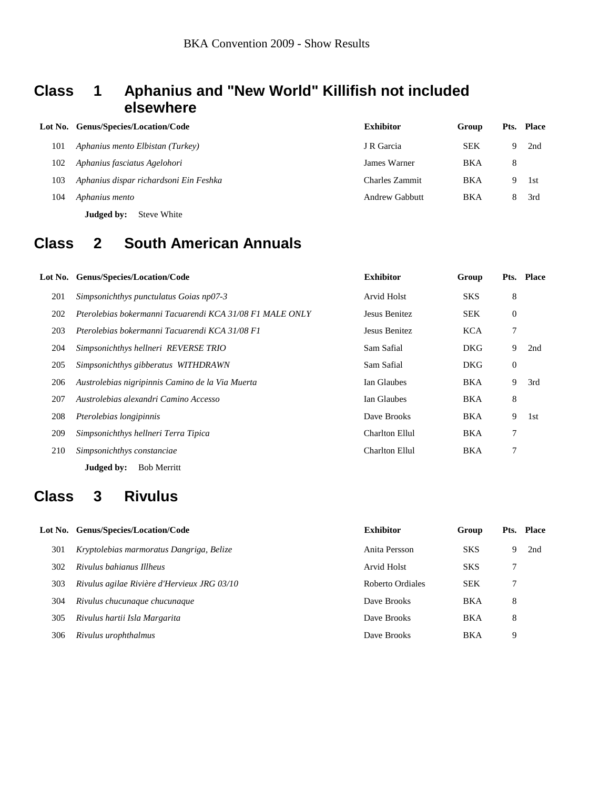### **Class 1 Aphanius and "New World" Killifish not included elsewhere**

|     | Lot No. Genus/Species/Location/Code    | <b>Exhibitor</b> | Group      |    | Pts. Place |
|-----|----------------------------------------|------------------|------------|----|------------|
| 101 | Aphanius mento Elbistan (Turkey)       | J R Garcia       | <b>SEK</b> | 9  | 2nd        |
| 102 | Aphanius fasciatus Agelohori           | James Warner     | <b>BKA</b> | 8  |            |
| 103 | Aphanius dispar richardsoni Ein Feshka | Charles Zammit   | <b>BKA</b> | 9  | 1st        |
| 104 | Aphanius mento                         | Andrew Gabbutt   | <b>BKA</b> | 8. | 3rd        |
|     | Judged by:<br>Steve White              |                  |            |    |            |

## **Class 2 South American Annuals**

|     | Lot No. Genus/Species/Location/Code                      | <b>Exhibitor</b>      | Group      |                | Pts. Place |
|-----|----------------------------------------------------------|-----------------------|------------|----------------|------------|
| 201 | Simpsonichthys punctulatus Goias np07-3                  | Arvid Holst           | <b>SKS</b> | 8              |            |
| 202 | Pterolebias bokermanni Tacuarendi KCA 31/08 F1 MALE ONLY | Jesus Benitez         | <b>SEK</b> | $\overline{0}$ |            |
| 203 | Pterolebias bokermanni Tacuarendi KCA 31/08 F1           | Jesus Benitez         | <b>KCA</b> |                |            |
| 204 | Simpsonichthys hellneri REVERSE TRIO                     | Sam Safial            | <b>DKG</b> | 9              | 2nd        |
| 205 | Simpsonichthys gibberatus WITHDRAWN                      | Sam Safial            | <b>DKG</b> | $\mathbf{0}$   |            |
| 206 | Austrolebias nigripinnis Camino de la Via Muerta         | Ian Glaubes           | BKA        | 9              | 3rd        |
| 207 | Austrolebias alexandri Camino Accesso                    | Ian Glaubes           | BKA        | 8              |            |
| 208 | Pterolebias longipinnis                                  | Dave Brooks           | <b>BKA</b> | 9              | 1st        |
| 209 | Simpsonichthys hellneri Terra Tipica                     | <b>Charlton Ellul</b> | BKA        | 7              |            |
| 210 | Simpsonichthys constanciae                               | <b>Charlton Ellul</b> | BKA        |                |            |
|     | Judged by:<br><b>Bob Merritt</b>                         |                       |            |                |            |

### **Class 3 Rivulus**

|     | Lot No. Genus/Species/Location/Code         | <b>Exhibitor</b> | Group      |   | Pts. Place |
|-----|---------------------------------------------|------------------|------------|---|------------|
| 301 | Kryptolebias marmoratus Dangriga, Belize    | Anita Persson    | <b>SKS</b> | 9 | 2nd        |
| 302 | Rivulus bahianus Illheus                    | Arvid Holst      | <b>SKS</b> |   |            |
| 303 | Rivulus agilae Rivière d'Hervieux JRG 03/10 | Roberto Ordiales | <b>SEK</b> |   |            |
| 304 | Rivulus chucunaque chucunaque               | Dave Brooks      | <b>BKA</b> | 8 |            |
| 305 | Rivulus hartii Isla Margarita               | Dave Brooks      | BKA        | 8 |            |
| 306 | Rivulus urophthalmus                        | Dave Brooks      | BKA        | 9 |            |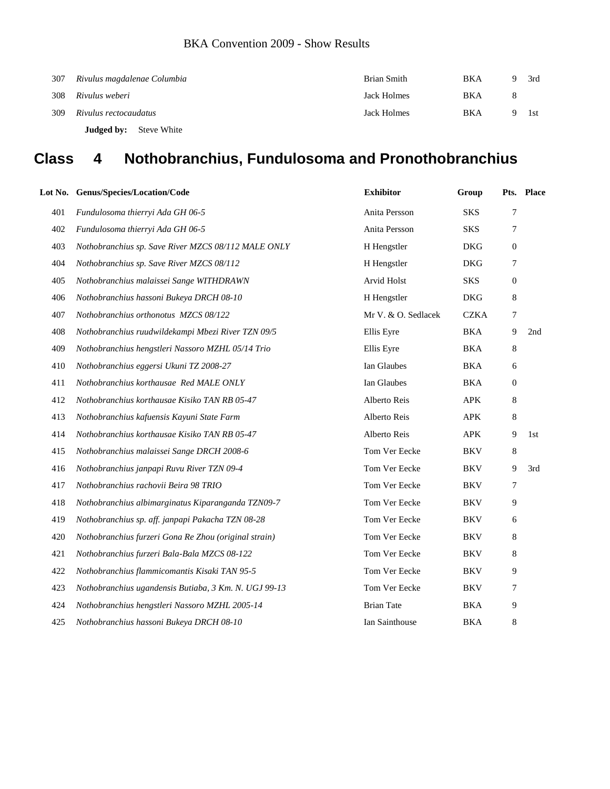| 307 | Rivulus magdalenae Columbia   | Brian Smith | <b>BKA</b> | Q | 3rd |
|-----|-------------------------------|-------------|------------|---|-----|
| 308 | Rivulus weberi                | Jack Holmes | BKA        |   |     |
| 309 | Rivulus rectocaudatus         | Jack Holmes | <b>BKA</b> |   | 1st |
|     | <b>Judged by:</b> Steve White |             |            |   |     |

## **Class 4 Nothobranchius, Fundulosoma and Pronothobranchius**

|     | Lot No. Genus/Species/Location/Code                   | <b>Exhibitor</b>    | Group       |                  | Pts. Place |
|-----|-------------------------------------------------------|---------------------|-------------|------------------|------------|
| 401 | Fundulosoma thierryi Ada GH 06-5                      | Anita Persson       | <b>SKS</b>  | 7                |            |
| 402 | Fundulosoma thierryi Ada GH 06-5                      | Anita Persson       | <b>SKS</b>  | 7                |            |
| 403 | Nothobranchius sp. Save River MZCS 08/112 MALE ONLY   | H Hengstler         | <b>DKG</b>  | $\boldsymbol{0}$ |            |
| 404 | Nothobranchius sp. Save River MZCS 08/112             | H Hengstler         | <b>DKG</b>  | 7                |            |
| 405 | Nothobranchius malaissei Sange WITHDRAWN              | <b>Arvid Holst</b>  | <b>SKS</b>  | $\boldsymbol{0}$ |            |
| 406 | Nothobranchius hassoni Bukeya DRCH 08-10              | H Hengstler         | <b>DKG</b>  | 8                |            |
| 407 | Nothobranchius orthonotus MZCS 08/122                 | Mr V. & O. Sedlacek | <b>CZKA</b> | 7                |            |
| 408 | Nothobranchius ruudwildekampi Mbezi River TZN 09/5    | Ellis Eyre          | BKA         | 9                | 2nd        |
| 409 | Nothobranchius hengstleri Nassoro MZHL 05/14 Trio     | Ellis Eyre          | <b>BKA</b>  | 8                |            |
| 410 | Nothobranchius eggersi Ukuni TZ 2008-27               | Ian Glaubes         | BKA         | 6                |            |
| 411 | Nothobranchius korthausae Red MALE ONLY               | Ian Glaubes         | BKA         | $\theta$         |            |
| 412 | Nothobranchius korthausae Kisiko TAN RB 05-47         | Alberto Reis        | <b>APK</b>  | 8                |            |
| 413 | Nothobranchius kafuensis Kayuni State Farm            | Alberto Reis        | APK         | 8                |            |
| 414 | Nothobranchius korthausae Kisiko TAN RB 05-47         | Alberto Reis        | <b>APK</b>  | 9                | 1st        |
| 415 | Nothobranchius malaissei Sange DRCH 2008-6            | Tom Ver Eecke       | BKV         | $\,8\,$          |            |
| 416 | Nothobranchius janpapi Ruvu River TZN 09-4            | Tom Ver Eecke       | <b>BKV</b>  | 9                | 3rd        |
| 417 | Nothobranchius rachovii Beira 98 TRIO                 | Tom Ver Eecke       | <b>BKV</b>  | 7                |            |
| 418 | Nothobranchius albimarginatus Kiparanganda TZN09-7    | Tom Ver Eecke       | <b>BKV</b>  | 9                |            |
| 419 | Nothobranchius sp. aff. janpapi Pakacha TZN 08-28     | Tom Ver Eecke       | <b>BKV</b>  | 6                |            |
| 420 | Nothobranchius furzeri Gona Re Zhou (original strain) | Tom Ver Eecke       | <b>BKV</b>  | 8                |            |
| 421 | Nothobranchius furzeri Bala-Bala MZCS 08-122          | Tom Ver Eecke       | <b>BKV</b>  | 8                |            |
| 422 | Nothobranchius flammicomantis Kisaki TAN 95-5         | Tom Ver Eecke       | BKV         | 9                |            |
| 423 | Nothobranchius ugandensis Butiaba, 3 Km. N. UGJ 99-13 | Tom Ver Eecke       | <b>BKV</b>  | 7                |            |
| 424 | Nothobranchius hengstleri Nassoro MZHL 2005-14        | <b>Brian Tate</b>   | BKA         | 9                |            |
| 425 | Nothobranchius hassoni Bukeya DRCH 08-10              | Ian Sainthouse      | <b>BKA</b>  | 8                |            |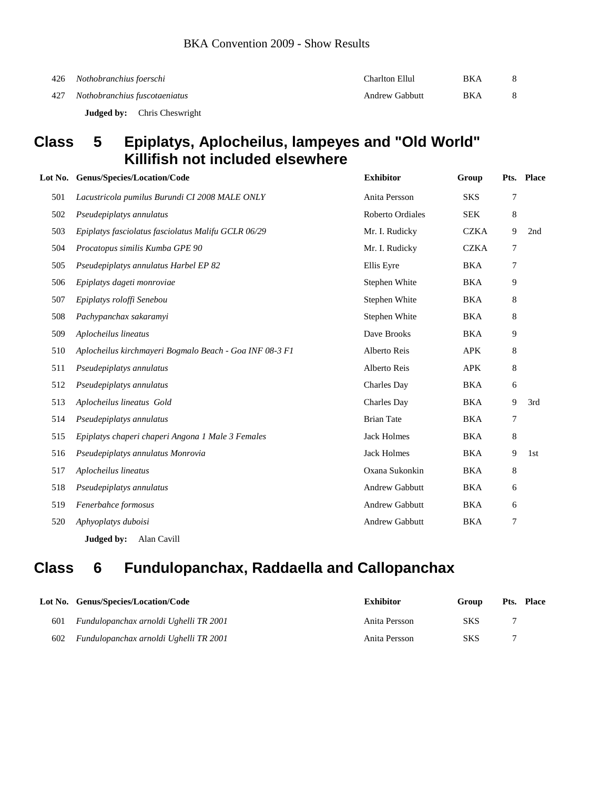| 426 | , Nothobranchius foerschi     | Charlton Ellul        | <b>BKA</b> |  |
|-----|-------------------------------|-----------------------|------------|--|
|     | Nothobranchius fuscotaeniatus | <b>Andrew Gabbutt</b> | BKA        |  |

**Judged by:** Chris Cheswright

### **Class 5 Epiplatys, Aplocheilus, lampeyes and "Old World" Killifish not included elsewhere**

|     | Lot No. Genus/Species/Location/Code                     | <b>Exhibitor</b>        | Group       |   | Pts. Place |
|-----|---------------------------------------------------------|-------------------------|-------------|---|------------|
| 501 | Lacustricola pumilus Burundi CI 2008 MALE ONLY          | Anita Persson           | <b>SKS</b>  | 7 |            |
| 502 | Pseudepiplatys annulatus                                | <b>Roberto Ordiales</b> | <b>SEK</b>  | 8 |            |
| 503 | Epiplatys fasciolatus fasciolatus Malifu GCLR 06/29     | Mr. I. Rudicky          | <b>CZKA</b> | 9 | 2nd        |
| 504 | Procatopus similis Kumba GPE 90                         | Mr. I. Rudicky          | <b>CZKA</b> | 7 |            |
| 505 | Pseudepiplatys annulatus Harbel EP 82                   | Ellis Eyre              | <b>BKA</b>  | 7 |            |
| 506 | Epiplatys dageti monroviae                              | Stephen White           | <b>BKA</b>  | 9 |            |
| 507 | Epiplatys roloffi Senebou                               | Stephen White           | <b>BKA</b>  | 8 |            |
| 508 | Pachypanchax sakaramyi                                  | Stephen White           | <b>BKA</b>  | 8 |            |
| 509 | Aplocheilus lineatus                                    | Dave Brooks             | <b>BKA</b>  | 9 |            |
| 510 | Aplocheilus kirchmayeri Bogmalo Beach - Goa INF 08-3 F1 | Alberto Reis            | <b>APK</b>  | 8 |            |
| 511 | Pseudepiplatys annulatus                                | Alberto Reis            | <b>APK</b>  | 8 |            |
| 512 | Pseudepiplatys annulatus                                | Charles Day             | <b>BKA</b>  | 6 |            |
| 513 | Aplocheilus lineatus Gold                               | Charles Day             | <b>BKA</b>  | 9 | 3rd        |
| 514 | Pseudepiplatys annulatus                                | <b>Brian Tate</b>       | <b>BKA</b>  | 7 |            |
| 515 | Epiplatys chaperi chaperi Angona 1 Male 3 Females       | <b>Jack Holmes</b>      | <b>BKA</b>  | 8 |            |
| 516 | Pseudepiplatys annulatus Monrovia                       | <b>Jack Holmes</b>      | <b>BKA</b>  | 9 | 1st        |
| 517 | Aplocheilus lineatus                                    | Oxana Sukonkin          | <b>BKA</b>  | 8 |            |
| 518 | Pseudepiplatys annulatus                                | Andrew Gabbutt          | <b>BKA</b>  | 6 |            |
| 519 | Fenerbahce formosus                                     | Andrew Gabbutt          | <b>BKA</b>  | 6 |            |
| 520 | Aphyoplatys duboisi                                     | <b>Andrew Gabbutt</b>   | <b>BKA</b>  | 7 |            |
|     | Judged by:<br>Alan Cavill                               |                         |             |   |            |

## **Class 6 Fundulopanchax, Raddaella and Callopanchax**

|     | Lot No. Genus/Species/Location/Code        | Exhibitor     | Group      | <b>Pts. Place</b> |
|-----|--------------------------------------------|---------------|------------|-------------------|
| 601 | Fundulopanchax arnoldi Ughelli TR 2001     | Anita Persson | <b>SKS</b> |                   |
|     | 602 Fundulopanchax arnoldi Ughelli TR 2001 | Anita Persson | <b>SKS</b> |                   |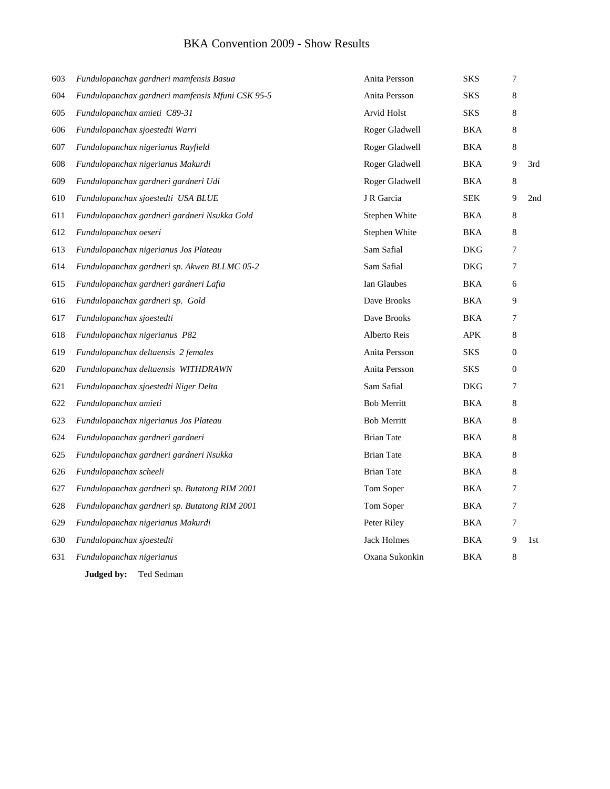| 603 | Fundulopanchax gardneri mamfensis Basua          | Anita Persson      | SKS        | 7            |     |
|-----|--------------------------------------------------|--------------------|------------|--------------|-----|
| 604 | Fundulopanchax gardneri mamfensis Mfuni CSK 95-5 | Anita Persson      | SKS        | 8            |     |
| 605 | Fundulopanchax amieti C89-31                     | Arvid Holst        | SKS        | 8            |     |
| 606 | Fundulopanchax sjoestedti Warri                  | Roger Gladwell     | <b>BKA</b> | 8            |     |
| 607 | Fundulopanchax nigerianus Rayfield               | Roger Gladwell     | <b>BKA</b> | 8            |     |
| 608 | Fundulopanchax nigerianus Makurdi                | Roger Gladwell     | <b>BKA</b> | 9            | 3rd |
| 609 | Fundulopanchax gardneri gardneri Udi             | Roger Gladwell     | <b>BKA</b> | $\,8\,$      |     |
| 610 | Fundulopanchax sjoestedti USA BLUE               | J R Garcia         | <b>SEK</b> | 9            | 2nd |
| 611 | Fundulopanchax gardneri gardneri Nsukka Gold     | Stephen White      | BKA        | 8            |     |
| 612 | Fundulopanchax oeseri                            | Stephen White      | <b>BKA</b> | 8            |     |
| 613 | Fundulopanchax nigerianus Jos Plateau            | Sam Safial         | DKG        | 7            |     |
| 614 | Fundulopanchax gardneri sp. Akwen BLLMC 05-2     | Sam Safial         | <b>DKG</b> | 7            |     |
| 615 | Fundulopanchax gardneri gardneri Lafia           | Ian Glaubes        | BKA        | 6            |     |
| 616 | Fundulopanchax gardneri sp. Gold                 | Dave Brooks        | BKA        | 9            |     |
| 617 | Fundulopanchax sjoestedti                        | Dave Brooks        | BKA        | 7            |     |
| 618 | Fundulopanchax nigerianus P82                    | Alberto Reis       | <b>APK</b> | 8            |     |
| 619 | Fundulopanchax deltaensis 2 females              | Anita Persson      | <b>SKS</b> | $\mathbf{0}$ |     |
| 620 | Fundulopanchax deltaensis WITHDRAWN              | Anita Persson      | SKS        | $\mathbf{0}$ |     |
| 621 | Fundulopanchax sjoestedti Niger Delta            | Sam Safial         | <b>DKG</b> | 7            |     |
| 622 | Fundulopanchax amieti                            | <b>Bob Merritt</b> | BKA        | 8            |     |
| 623 | Fundulopanchax nigerianus Jos Plateau            | <b>Bob Merritt</b> | BKA        | 8            |     |
| 624 | Fundulopanchax gardneri gardneri                 | <b>Brian Tate</b>  | BKA        | 8            |     |
| 625 | Fundulopanchax gardneri gardneri Nsukka          | <b>Brian Tate</b>  | BKA        | 8            |     |
| 626 | Fundulopanchax scheeli                           | <b>Brian Tate</b>  | BKA        | 8            |     |
| 627 | Fundulopanchax gardneri sp. Butatong RIM 2001    | Tom Soper          | BKA        | 7            |     |
| 628 | Fundulopanchax gardneri sp. Butatong RIM 2001    | Tom Soper          | BKA        | 7            |     |
| 629 | Fundulopanchax nigerianus Makurdi                | Peter Riley        | <b>BKA</b> | 7            |     |
| 630 | Fundulopanchax sjoestedti                        | <b>Jack Holmes</b> | BKA        | 9            | 1st |
| 631 | Fundulopanchax nigerianus                        | Oxana Sukonkin     | <b>BKA</b> | 8            |     |
|     | Judged by:<br>Ted Sedman                         |                    |            |              |     |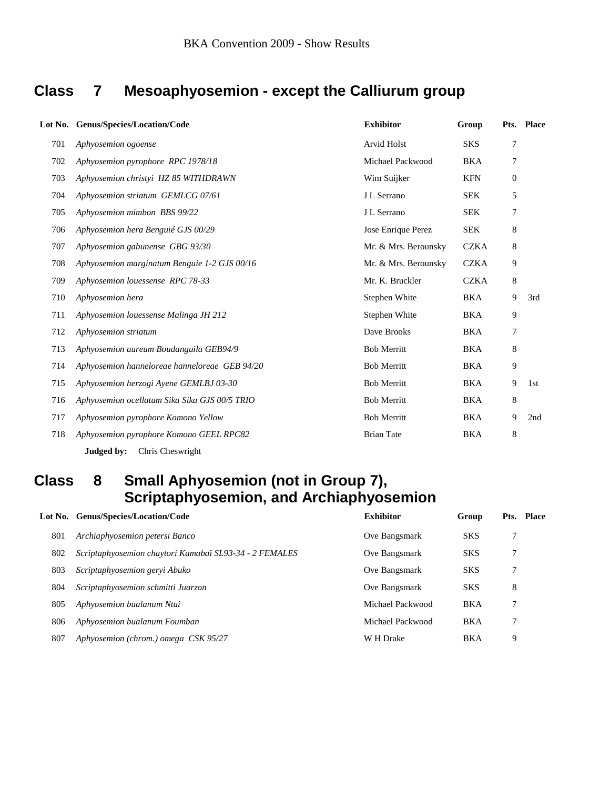## **Class 7 Mesoaphyosemion - except the Calliurum group**

|     | Lot No. Genus/Species/Location/Code           | <b>Exhibitor</b>     | Group       |                  | Pts. Place |
|-----|-----------------------------------------------|----------------------|-------------|------------------|------------|
| 701 | Aphyosemion ogoense                           | <b>Arvid Holst</b>   | <b>SKS</b>  | 7                |            |
| 702 | Aphyosemion pyrophore RPC 1978/18             | Michael Packwood     | <b>BKA</b>  | 7                |            |
| 703 | Aphyosemion christyi HZ 85 WITHDRAWN          | Wim Suijker          | <b>KFN</b>  | $\boldsymbol{0}$ |            |
| 704 | Aphyosemion striatum GEMLCG 07/61             | J L Serrano          | <b>SEK</b>  | 5                |            |
| 705 | Aphyosemion mimbon BBS 99/22                  | J L Serrano          | <b>SEK</b>  | 7                |            |
| 706 | Aphyosemion hera Benguié GJS 00/29            | Jose Enrique Perez   | <b>SEK</b>  | 8                |            |
| 707 | Aphyosemion gabunense GBG 93/30               | Mr. & Mrs. Berounsky | <b>CZKA</b> | 8                |            |
| 708 | Aphyosemion marginatum Benguie 1-2 GJS 00/16  | Mr. & Mrs. Berounsky | <b>CZKA</b> | 9                |            |
| 709 | Aphyosemion louessense RPC 78-33              | Mr. K. Bruckler      | <b>CZKA</b> | 8                |            |
| 710 | Aphyosemion hera                              | Stephen White        | <b>BKA</b>  | 9                | 3rd        |
| 711 | Aphyosemion louessense Malinga JH 212         | Stephen White        | <b>BKA</b>  | 9                |            |
| 712 | Aphyosemion striatum                          | Dave Brooks          | <b>BKA</b>  | 7                |            |
| 713 | Aphyosemion aureum Boudanguila GEB94/9        | <b>Bob Merritt</b>   | <b>BKA</b>  | 8                |            |
| 714 | Aphyosemion hanneloreae hanneloreae GEB 94/20 | <b>Bob Merritt</b>   | <b>BKA</b>  | 9                |            |
| 715 | Aphyosemion herzogi Ayene GEMLBJ 03-30        | <b>Bob Merritt</b>   | <b>BKA</b>  | 9                | 1st        |
| 716 | Aphyosemion ocellatum Sika Sika GJS 00/5 TRIO | <b>Bob Merritt</b>   | <b>BKA</b>  | 8                |            |
| 717 | Aphyosemion pyrophore Komono Yellow           | <b>Bob Merritt</b>   | <b>BKA</b>  | 9                | 2nd        |
| 718 | Aphyosemion pyrophore Komono GEEL RPC82       | <b>Brian Tate</b>    | <b>BKA</b>  | 8                |            |
|     | Chris Cheswright<br>Judged by:                |                      |             |                  |            |

## **Class 8 Small Aphyosemion (not in Group 7), Scriptaphyosemion, and Archiaphyosemion**

|     | Lot No. Genus/Species/Location/Code                    | <b>Exhibitor</b> | Group      | Pts. | Place |
|-----|--------------------------------------------------------|------------------|------------|------|-------|
| 801 | Archiaphyosemion petersi Banco                         | Ove Bangsmark    | <b>SKS</b> |      |       |
| 802 | Scriptaphyosemion chaytori Kamabaï SL93-34 - 2 FEMALES | Ove Bangsmark    | <b>SKS</b> | 7    |       |
| 803 | Scriptaphyosemion geryi Abuko                          | Ove Bangsmark    | <b>SKS</b> | 7    |       |
| 804 | Scriptaphyosemion schmitti Juarzon                     | Ove Bangsmark    | <b>SKS</b> | 8    |       |
| 805 | Aphyosemion bualanum Ntui                              | Michael Packwood | BKA        |      |       |
| 806 | Aphyosemion bualanum Foumban                           | Michael Packwood | <b>BKA</b> | 7    |       |
| 807 | Aphyosemion (chrom.) omega CSK 95/27                   | W H Drake        | <b>BKA</b> | 9    |       |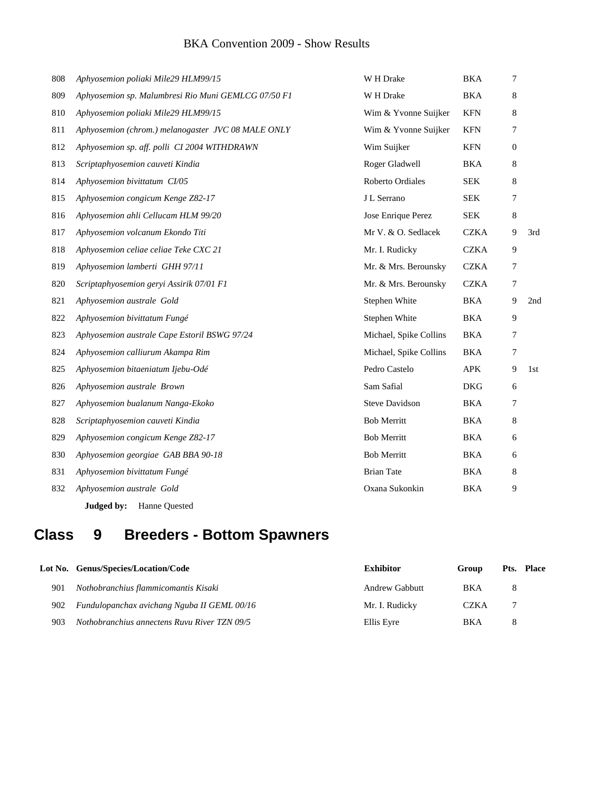| 808 | Aphyosemion poliaki Mile29 HLM99/15                 | W H Drake              | <b>BKA</b>  | 7                |     |
|-----|-----------------------------------------------------|------------------------|-------------|------------------|-----|
| 809 | Aphyosemion sp. Malumbresi Rio Muni GEMLCG 07/50 F1 | W H Drake              | <b>BKA</b>  | 8                |     |
| 810 | Aphyosemion poliaki Mile29 HLM99/15                 | Wim & Yvonne Suijker   | <b>KFN</b>  | 8                |     |
| 811 | Aphyosemion (chrom.) melanogaster JVC 08 MALE ONLY  | Wim & Yvonne Suijker   | <b>KFN</b>  | 7                |     |
| 812 | Aphyosemion sp. aff. polli CI 2004 WITHDRAWN        | Wim Suijker            | <b>KFN</b>  | $\boldsymbol{0}$ |     |
| 813 | Scriptaphyosemion cauveti Kindia                    | Roger Gladwell         | <b>BKA</b>  | 8                |     |
| 814 | Aphyosemion bivittatum CI/05                        | Roberto Ordiales       | <b>SEK</b>  | 8                |     |
| 815 | Aphyosemion congicum Kenge Z82-17                   | J L Serrano            | <b>SEK</b>  | 7                |     |
| 816 | Aphyosemion ahli Cellucam HLM 99/20                 | Jose Enrique Perez     | <b>SEK</b>  | 8                |     |
| 817 | Aphyosemion volcanum Ekondo Titi                    | Mr V. & O. Sedlacek    | <b>CZKA</b> | 9                | 3rd |
| 818 | Aphyosemion celiae celiae Teke CXC 21               | Mr. I. Rudicky         | <b>CZKA</b> | 9                |     |
| 819 | Aphyosemion lamberti GHH 97/11                      | Mr. & Mrs. Berounsky   | <b>CZKA</b> | 7                |     |
| 820 | Scriptaphyosemion geryi Assirik 07/01 F1            | Mr. & Mrs. Berounsky   | <b>CZKA</b> | 7                |     |
| 821 | Aphyosemion australe Gold                           | Stephen White          | <b>BKA</b>  | 9                | 2nd |
| 822 | Aphyosemion bivittatum Fungé                        | Stephen White          | <b>BKA</b>  | 9                |     |
| 823 | Aphyosemion australe Cape Estoril BSWG 97/24        | Michael, Spike Collins | <b>BKA</b>  | 7                |     |
| 824 | Aphyosemion calliurum Akampa Rim                    | Michael, Spike Collins | <b>BKA</b>  | 7                |     |
| 825 | Aphyosemion bitaeniatum Ijebu-Odé                   | Pedro Castelo          | <b>APK</b>  | 9                | 1st |
| 826 | Aphyosemion australe Brown                          | Sam Safial             | <b>DKG</b>  | 6                |     |
| 827 | Aphyosemion bualanum Nanga-Ekoko                    | <b>Steve Davidson</b>  | <b>BKA</b>  | 7                |     |
| 828 | Scriptaphyosemion cauveti Kindia                    | <b>Bob Merritt</b>     | <b>BKA</b>  | 8                |     |
| 829 | Aphyosemion congicum Kenge Z82-17                   | <b>Bob Merritt</b>     | <b>BKA</b>  | 6                |     |
| 830 | Aphyosemion georgiae GAB BBA 90-18                  | <b>Bob Merritt</b>     | <b>BKA</b>  | 6                |     |
| 831 | Aphyosemion bivittatum Fungé                        | <b>Brian Tate</b>      | <b>BKA</b>  | 8                |     |
| 832 | Aphyosemion australe Gold                           | Oxana Sukonkin         | <b>BKA</b>  | 9                |     |
|     |                                                     |                        |             |                  |     |

**Judged by:** Hanne Quested

## **Class 9 Breeders - Bottom Spawners**

|     | Lot No. Genus/Species/Location/Code          | <b>Exhibitor</b> | Group       |   | Pts. Place |
|-----|----------------------------------------------|------------------|-------------|---|------------|
| 901 | Nothobranchius flammicomantis Kisaki         | Andrew Gabbutt   | <b>BKA</b>  | 8 |            |
| 902 | Fundulopanchax avichang Nguba II GEML 00/16  | Mr. I. Rudicky   | <b>CZKA</b> |   |            |
| 903 | Nothobranchius annectens Ruvu River TZN 09/5 | Ellis Eyre       | BKA         | 8 |            |